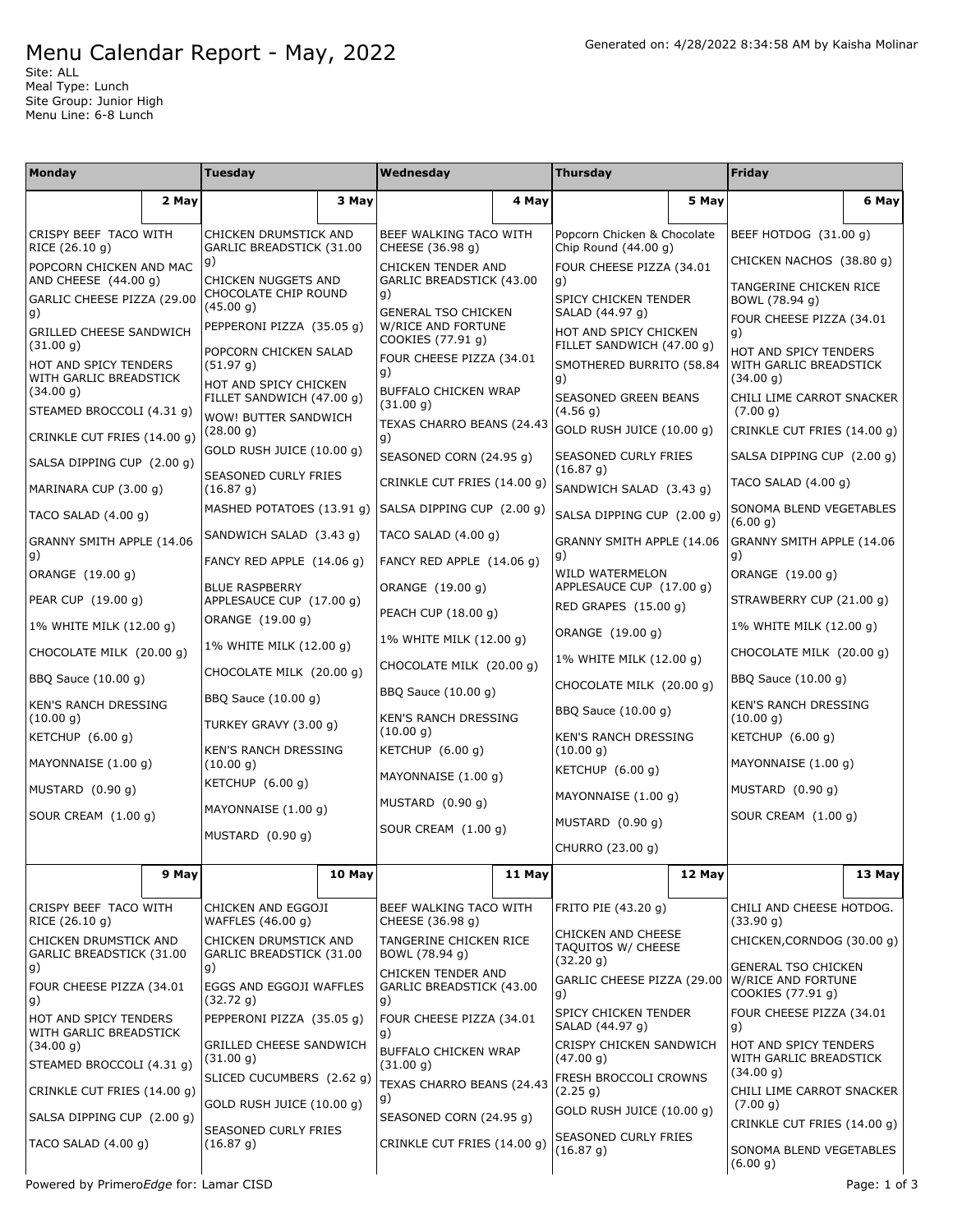## Menu Calendar Report - May, 2022

Site: ALL Meal Type: Lunch Site Group: Junior High Menu Line: 6-8 Lunch

| Monday                                            |       | <b>Tuesday</b>                                     |        | Wednesday                                             |        | <b>Thursday</b>                                       |        | Friday                                                   |        |
|---------------------------------------------------|-------|----------------------------------------------------|--------|-------------------------------------------------------|--------|-------------------------------------------------------|--------|----------------------------------------------------------|--------|
|                                                   | 2 May |                                                    | 3 May  |                                                       | 4 May  |                                                       | 5 May  |                                                          | 6 May  |
| CRISPY BEEF TACO WITH<br>RICE (26.10 g)           |       | CHICKEN DRUMSTICK AND                              |        | BEEF WALKING TACO WITH                                |        | Popcorn Chicken & Chocolate<br>Chip Round $(44.00 q)$ |        | BEEF HOTDOG (31.00 g)                                    |        |
| POPCORN CHICKEN AND MAC                           |       | GARLIC BREADSTICK (31.00<br>g)                     |        | CHEESE (36.98 g)<br>CHICKEN TENDER AND                |        | FOUR CHEESE PIZZA (34.01                              |        | CHICKEN NACHOS (38.80 g)                                 |        |
| AND CHEESE (44.00 g)                              |       | CHICKEN NUGGETS AND<br>CHOCOLATE CHIP ROUND        |        | GARLIC BREADSTICK (43.00<br>g)                        |        | g)                                                    |        | TANGERINE CHICKEN RICE                                   |        |
| GARLIC CHEESE PIZZA (29.00<br>g)                  |       | (45.00 g)                                          |        | <b>GENERAL TSO CHICKEN</b>                            |        | SPICY CHICKEN TENDER<br>SALAD (44.97 g)               |        | BOWL (78.94 g)<br>FOUR CHEESE PIZZA (34.01               |        |
| <b>GRILLED CHEESE SANDWICH</b><br>(31.00 g)       |       | PEPPERONI PIZZA (35.05 g)                          |        | <b>W/RICE AND FORTUNE</b><br>COOKIES (77.91 g)        |        | HOT AND SPICY CHICKEN<br>FILLET SANDWICH (47.00 g)    |        | g)                                                       |        |
| HOT AND SPICY TENDERS                             |       | POPCORN CHICKEN SALAD<br>(51.97 g)                 |        | FOUR CHEESE PIZZA (34.01<br>g)                        |        | SMOTHERED BURRITO (58.84                              |        | HOT AND SPICY TENDERS<br>WITH GARLIC BREADSTICK          |        |
| WITH GARLIC BREADSTICK<br>(34.00 g)               |       | HOT AND SPICY CHICKEN<br>FILLET SANDWICH (47.00 g) |        | BUFFALO CHICKEN WRAP<br>(31.00 g)                     |        | g)<br>SEASONED GREEN BEANS                            |        | (34.00 g)<br>CHILI LIME CARROT SNACKER                   |        |
| STEAMED BROCCOLI (4.31 g)                         |       | WOW! BUTTER SANDWICH<br>(28.00 g)                  |        | TEXAS CHARRO BEANS (24.43                             |        | (4.56 g)<br>GOLD RUSH JUICE (10.00 g)                 |        | (7.00 g)<br>CRINKLE CUT FRIES (14.00 g)                  |        |
| CRINKLE CUT FRIES (14.00 g)                       |       | GOLD RUSH JUICE (10.00 g)                          |        | g)<br>SEASONED CORN (24.95 g)                         |        |                                                       |        |                                                          |        |
| SALSA DIPPING CUP (2.00 g)                        |       | <b>SEASONED CURLY FRIES</b>                        |        |                                                       |        | SEASONED CURLY FRIES<br>(16.87 g)                     |        | SALSA DIPPING CUP (2.00 g)                               |        |
| MARINARA CUP (3.00 g)                             |       | (16.87 g)                                          |        | CRINKLE CUT FRIES (14.00 g)                           |        | SANDWICH SALAD (3.43 g)                               |        | TACO SALAD (4.00 g)                                      |        |
| TACO SALAD $(4.00 g)$                             |       | MASHED POTATOES (13.91 g)                          |        | SALSA DIPPING CUP (2.00 g)                            |        | SALSA DIPPING CUP (2.00 g)                            |        | SONOMA BLEND VEGETABLES<br>(6.00 g)                      |        |
| GRANNY SMITH APPLE (14.06<br>g)                   |       | SANDWICH SALAD (3.43 g)                            |        | TACO SALAD (4.00 g)                                   |        | GRANNY SMITH APPLE (14.06<br>g)                       |        | GRANNY SMITH APPLE (14.06<br>g)                          |        |
| ORANGE (19.00 g)                                  |       | FANCY RED APPLE $(14.06 g)$                        |        | FANCY RED APPLE (14.06 g)                             |        | WILD WATERMELON                                       |        | ORANGE (19.00 g)                                         |        |
| PEAR CUP (19.00 g)                                |       | <b>BLUE RASPBERRY</b><br>APPLESAUCE CUP (17.00 g)  |        | ORANGE (19.00 g)                                      |        | APPLESAUCE CUP (17.00 q)<br>RED GRAPES (15.00 g)      |        | STRAWBERRY CUP (21.00 g)                                 |        |
| 1% WHITE MILK (12.00 g)                           |       | ORANGE (19.00 g)                                   |        | PEACH CUP (18.00 g)                                   |        | ORANGE (19.00 g)                                      |        | 1% WHITE MILK (12.00 g)                                  |        |
| CHOCOLATE MILK (20.00 g)                          |       | 1% WHITE MILK (12.00 g)                            |        | 1% WHITE MILK (12.00 g)<br>CHOCOLATE MILK (20.00 g)   |        | 1% WHITE MILK (12.00 g)                               |        | CHOCOLATE MILK (20.00 g)                                 |        |
| BBQ Sauce (10.00 g)                               |       | CHOCOLATE MILK (20.00 g)                           |        | BBQ Sauce (10.00 g)                                   |        | CHOCOLATE MILK (20.00 g)                              |        | BBQ Sauce (10.00 g)                                      |        |
| KEN'S RANCH DRESSING                              |       | BBQ Sauce (10.00 g)                                |        | <b>KEN'S RANCH DRESSING</b>                           |        | BBQ Sauce (10.00 g)                                   |        | <b>KEN'S RANCH DRESSING</b><br>(10.00 g)                 |        |
| (10.00 g)<br>KETCHUP (6.00 g)                     |       | TURKEY GRAVY (3.00 g)                              |        | (10.00 g)                                             |        | <b>KEN'S RANCH DRESSING</b>                           |        | KETCHUP $(6.00 g)$                                       |        |
| MAYONNAISE (1.00 q)                               |       | <b>KEN'S RANCH DRESSING</b><br>(10.00 g)           |        | KETCHUP (6.00 g)                                      |        | (10.00 g)<br>KETCHUP $(6.00 q)$                       |        | MAYONNAISE (1.00 q)                                      |        |
| MUSTARD (0.90 g)                                  |       | KETCHUP (6.00 g)                                   |        | MAYONNAISE (1.00 q)                                   |        | MAYONNAISE $(1.00 q)$                                 |        | MUSTARD (0.90 g)                                         |        |
| SOUR CREAM (1.00 g)                               |       | MAYONNAISE (1.00 g)                                |        | MUSTARD (0.90 q)                                      |        | MUSTARD $(0.90 g)$                                    |        | SOUR CREAM (1.00 g)                                      |        |
|                                                   |       | MUSTARD (0.90 g)                                   |        | SOUR CREAM (1.00 g)                                   |        | CHURRO (23.00 g)                                      |        |                                                          |        |
|                                                   | 9 May |                                                    | 10 May |                                                       | 11 May |                                                       | 12 May |                                                          | 13 May |
| CRISPY BEEF TACO WITH                             |       | CHICKEN AND EGGOJI                                 |        | BEEF WALKING TACO WITH                                |        | FRITO PIE (43.20 g)                                   |        | CHILI AND CHEESE HOTDOG.                                 |        |
| RICE (26.10 g)                                    |       | WAFFLES (46.00 g)                                  |        | CHEESE (36.98 g)                                      |        | <b>CHICKEN AND CHEESE</b>                             |        | (33.90 g)                                                |        |
| CHICKEN DRUMSTICK AND<br>GARLIC BREADSTICK (31.00 |       | CHICKEN DRUMSTICK AND<br>GARLIC BREADSTICK (31.00  |        | TANGERINE CHICKEN RICE<br>BOWL (78.94 g)              |        | TAQUITOS W/ CHEESE<br>(32.20 g)                       |        | CHICKEN, CORNDOG (30.00 g)<br><b>GENERAL TSO CHICKEN</b> |        |
| g)<br>FOUR CHEESE PIZZA (34.01<br>g)              |       | g)<br>EGGS AND EGGOJI WAFFLES<br>(32.72 g)         |        | CHICKEN TENDER AND<br>GARLIC BREADSTICK (43.00<br>g). |        | GARLIC CHEESE PIZZA (29.00<br>g)                      |        | W/RICE AND FORTUNE<br>COOKIES (77.91 g)                  |        |
| HOT AND SPICY TENDERS                             |       | PEPPERONI PIZZA (35.05 g)                          |        | FOUR CHEESE PIZZA (34.01                              |        | SPICY CHICKEN TENDER<br>SALAD (44.97 g)               |        | FOUR CHEESE PIZZA (34.01<br>$\vert g)$                   |        |
| WITH GARLIC BREADSTICK<br>(34.00 g)               |       | <b>GRILLED CHEESE SANDWICH</b><br>(31.00 g)        |        | g)<br>BUFFALO CHICKEN WRAP                            |        | CRISPY CHICKEN SANDWICH<br>(47.00 g)                  |        | HOT AND SPICY TENDERS<br>WITH GARLIC BREADSTICK          |        |
| STEAMED BROCCOLI (4.31 g)                         |       | SLICED CUCUMBERS (2.62 g)                          |        | (31.00 g)<br>TEXAS CHARRO BEANS (24.43                |        | FRESH BROCCOLI CROWNS                                 |        | (34.00 g)                                                |        |
| CRINKLE CUT FRIES (14.00 g)                       |       | GOLD RUSH JUICE (10.00 g)                          |        | g)                                                    |        | (2.25 g)<br>GOLD RUSH JUICE (10.00 g)                 |        | CHILI LIME CARROT SNACKER<br>(7.00 g)                    |        |
| SALSA DIPPING CUP (2.00 g)                        |       | SEASONED CURLY FRIES                               |        | SEASONED CORN (24.95 g)                               |        | SEASONED CURLY FRIES                                  |        | CRINKLE CUT FRIES (14.00 g)                              |        |
| TACO SALAD $(4.00 g)$                             |       | (16.87 g)                                          |        | CRINKLE CUT FRIES (14.00 g)                           |        | (16.87 g)                                             |        | SONOMA BLEND VEGETABLES<br>(6.00 g)                      |        |

Powered by Primero*Edge* for: Lamar CISD example and the state of the state of the Page: 1 of 3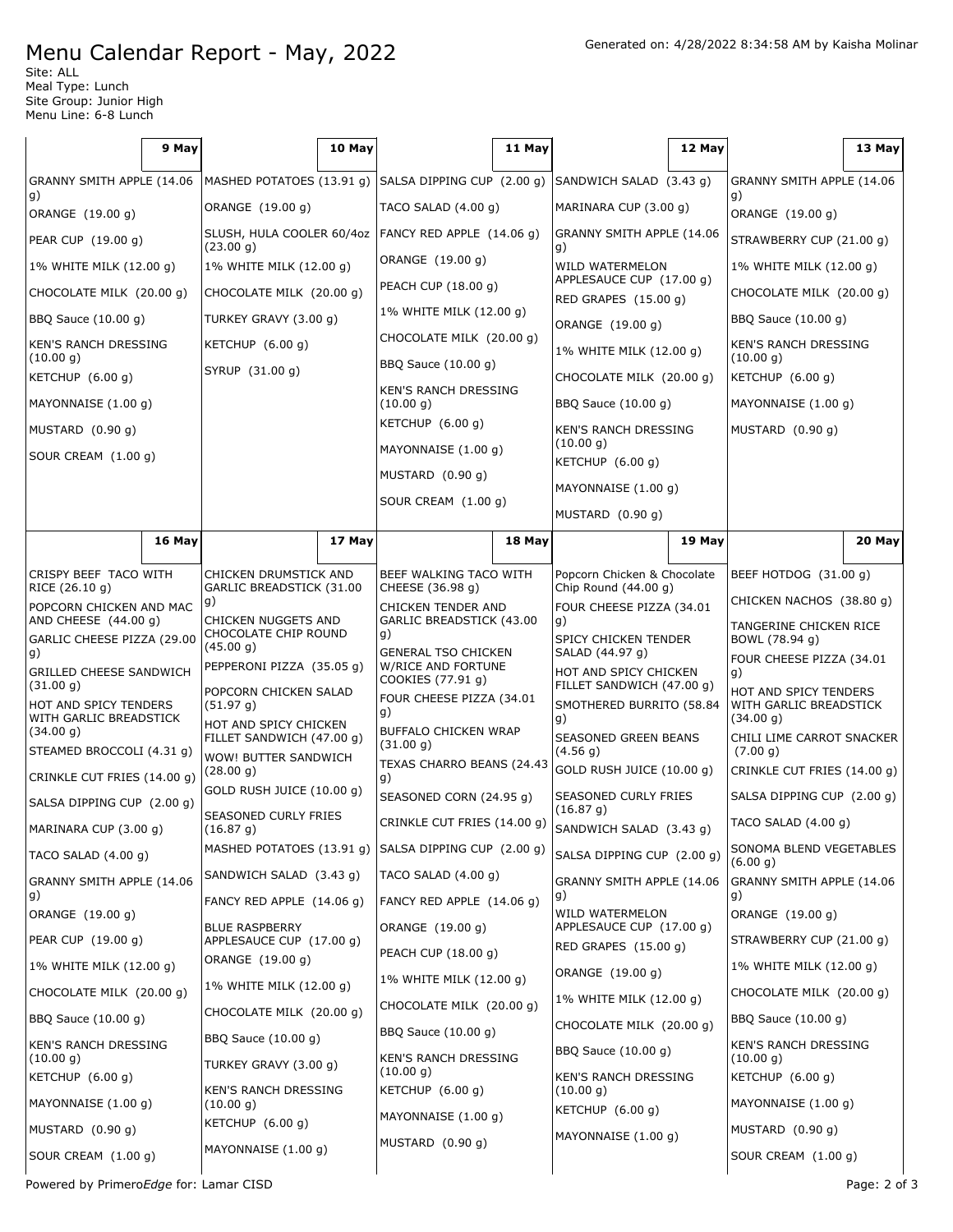## Menu Calendar Report - May, 2022

Site: ALL Meal Type: Lunch Site Group: Junior High Menu Line: 6-8 Lunch

|                                                 | 9 May                                                |                                                    | 10 May |                                                                       | 11 May |                                                                                               | 12 May |                                                              | 13 May |
|-------------------------------------------------|------------------------------------------------------|----------------------------------------------------|--------|-----------------------------------------------------------------------|--------|-----------------------------------------------------------------------------------------------|--------|--------------------------------------------------------------|--------|
| GRANNY SMITH APPLE (14.06                       | MASHED POTATOES (13.91 g) SALSA DIPPING CUP (2.00 g) |                                                    |        | SANDWICH SALAD (3.43 q)                                               |        | GRANNY SMITH APPLE (14.06                                                                     |        |                                                              |        |
| g)<br>ORANGE (19.00 g)                          |                                                      | ORANGE (19.00 g)                                   |        | TACO SALAD (4.00 g)                                                   |        | MARINARA CUP (3.00 g)                                                                         |        | g)<br>ORANGE (19.00 g)                                       |        |
| PEAR CUP (19.00 g)                              |                                                      | SLUSH, HULA COOLER 60/4oz                          |        | FANCY RED APPLE (14.06 g)                                             |        | GRANNY SMITH APPLE (14.06                                                                     |        | STRAWBERRY CUP (21.00 g)                                     |        |
| 1% WHITE MILK (12.00 g)                         |                                                      | (23.00 g)<br>1% WHITE MILK (12.00 g)               |        | ORANGE (19.00 g)                                                      |        | g)<br>WILD WATERMELON                                                                         |        | 1% WHITE MILK (12.00 g)                                      |        |
| CHOCOLATE MILK (20.00 g)                        |                                                      | CHOCOLATE MILK (20.00 g)                           |        | PEACH CUP (18.00 g)                                                   |        | APPLESAUCE CUP (17.00 g)<br>RED GRAPES (15.00 g)                                              |        | CHOCOLATE MILK (20.00 g)                                     |        |
| BBQ Sauce (10.00 g)                             |                                                      | TURKEY GRAVY (3.00 g)                              |        | 1% WHITE MILK (12.00 g)                                               |        | ORANGE (19.00 g)                                                                              |        | BBQ Sauce (10.00 g)                                          |        |
| <b>KEN'S RANCH DRESSING</b>                     |                                                      | KETCHUP (6.00 q)                                   |        | CHOCOLATE MILK (20.00 g)                                              |        | 1% WHITE MILK (12.00 g)                                                                       |        | <b>KEN'S RANCH DRESSING</b><br>(10.00 g)                     |        |
| (10.00 g)<br>KETCHUP (6.00 g)                   |                                                      | SYRUP (31.00 g)                                    |        | BBQ Sauce (10.00 g)                                                   |        | CHOCOLATE MILK (20.00 g)                                                                      |        | KETCHUP (6.00 g)                                             |        |
| MAYONNAISE (1.00 g)                             |                                                      |                                                    |        | KEN'S RANCH DRESSING<br>(10.00 g)                                     |        | BBQ Sauce (10.00 g)                                                                           |        | MAYONNAISE (1.00 g)                                          |        |
| MUSTARD (0.90 g)                                |                                                      |                                                    |        | KETCHUP (6.00 g)                                                      |        | KEN'S RANCH DRESSING                                                                          |        | MUSTARD $(0.90 g)$                                           |        |
| SOUR CREAM (1.00 g)                             |                                                      |                                                    |        | MAYONNAISE (1.00 g)                                                   |        | (10.00 g)<br>KETCHUP $(6.00 g)$                                                               |        |                                                              |        |
|                                                 |                                                      |                                                    |        | MUSTARD (0.90 g)                                                      |        | MAYONNAISE (1.00 g)                                                                           |        |                                                              |        |
|                                                 |                                                      |                                                    |        | SOUR CREAM (1.00 g)                                                   |        | MUSTARD (0.90 q)                                                                              |        |                                                              |        |
|                                                 | 16 May                                               |                                                    | 17 May |                                                                       | 18 May |                                                                                               | 19 May |                                                              | 20 May |
| CRISPY BEEF TACO WITH                           |                                                      | CHICKEN DRUMSTICK AND                              |        | BEEF WALKING TACO WITH                                                |        | Popcorn Chicken & Chocolate                                                                   |        | BEEF HOTDOG (31.00 g)                                        |        |
| RICE (26.10 q)                                  |                                                      | GARLIC BREADSTICK (31.00<br>g)                     |        | CHEESE (36.98 g)                                                      |        | Chip Round $(44.00 g)$                                                                        |        | CHICKEN NACHOS (38.80 g)                                     |        |
| POPCORN CHICKEN AND MAC<br>AND CHEESE (44.00 g) |                                                      | CHICKEN NUGGETS AND<br>CHOCOLATE CHIP ROUND        |        | CHICKEN TENDER AND<br>GARLIC BREADSTICK (43.00<br>g)                  |        | FOUR CHEESE PIZZA (34.01<br>g)                                                                |        | TANGERINE CHICKEN RICE                                       |        |
| GARLIC CHEESE PIZZA (29.00<br>g)                |                                                      | (45.00 g)                                          |        | <b>GENERAL TSO CHICKEN</b><br>W/RICE AND FORTUNE<br>COOKIES (77.91 g) |        | SPICY CHICKEN TENDER<br>SALAD (44.97 g)<br>HOT AND SPICY CHICKEN<br>FILLET SANDWICH (47.00 g) |        | BOWL (78.94 g)<br>FOUR CHEESE PIZZA (34.01<br>g)             |        |
| <b>GRILLED CHEESE SANDWICH</b><br>(31.00 g)     |                                                      | PEPPERONI PIZZA (35.05 g)                          |        |                                                                       |        |                                                                                               |        |                                                              |        |
| HOT AND SPICY TENDERS                           |                                                      | POPCORN CHICKEN SALAD<br>(51.97 g)                 |        | FOUR CHEESE PIZZA (34.01<br> g)                                       |        | SMOTHERED BURRITO (58.84<br>g)                                                                |        | HOT AND SPICY TENDERS<br>WITH GARLIC BREADSTICK<br>(34.00 g) |        |
| WITH GARLIC BREADSTICK<br>(34.00 g)             |                                                      | HOT AND SPICY CHICKEN<br>FILLET SANDWICH (47.00 g) |        | BUFFALO CHICKEN WRAP<br>(31.00 g)                                     |        | SEASONED GREEN BEANS                                                                          |        | CHILI LIME CARROT SNACKER                                    |        |
| STEAMED BROCCOLI (4.31 g)                       |                                                      | WOW! BUTTER SANDWICH<br>(28.00 g)                  |        | TEXAS CHARRO BEANS (24.43                                             |        | (4.56 g)<br>GOLD RUSH JUICE (10.00 g)                                                         |        | (7.00 g)<br>CRINKLE CUT FRIES (14.00 g)                      |        |
| CRINKLE CUT FRIES (14.00 g)                     |                                                      | GOLD RUSH JUICE (10.00 g)                          |        | g)<br>SEASONED CORN (24.95 g)                                         |        | SEASONED CURLY FRIES                                                                          |        | SALSA DIPPING CUP (2.00 g)                                   |        |
| SALSA DIPPING CUP (2.00 g)                      |                                                      | SEASONED CURLY FRIES                               |        | CRINKLE CUT FRIES (14.00 g)                                           |        | (16.87 g)                                                                                     |        | TACO SALAD $(4.00 g)$                                        |        |
| MARINARA CUP (3.00 g)                           |                                                      | (16.87 g)                                          |        | MASHED POTATOES (13.91 g) SALSA DIPPING CUP (2.00 g)                  |        | SANDWICH SALAD (3.43 g)                                                                       |        | SONOMA BLEND VEGETABLES                                      |        |
| TACO SALAD (4.00 g)                             |                                                      | SANDWICH SALAD (3.43 g)                            |        | TACO SALAD (4.00 g)                                                   |        | SALSA DIPPING CUP (2.00 g)<br>GRANNY SMITH APPLE (14.06                                       |        | (6.00 q)                                                     |        |
| GRANNY SMITH APPLE (14.06<br>g)                 |                                                      | FANCY RED APPLE (14.06 g)                          |        | FANCY RED APPLE (14.06 g)                                             |        | g)                                                                                            |        | GRANNY SMITH APPLE (14.06<br>g)                              |        |
| ORANGE (19.00 g)                                |                                                      | <b>BLUE RASPBERRY</b>                              |        | ORANGE (19.00 g)                                                      |        | WILD WATERMELON<br>APPLESAUCE CUP (17.00 g)                                                   |        | ORANGE (19.00 g)                                             |        |
| PEAR CUP (19.00 g)                              |                                                      | APPLESAUCE CUP (17.00 g)<br>ORANGE (19.00 g)       |        | PEACH CUP (18.00 g)                                                   |        | RED GRAPES (15.00 g)                                                                          |        | STRAWBERRY CUP (21.00 g)                                     |        |
| 1% WHITE MILK (12.00 g)                         |                                                      | 1% WHITE MILK (12.00 g)                            |        | 1% WHITE MILK (12.00 g)                                               |        | ORANGE (19.00 g)                                                                              |        | 1% WHITE MILK (12.00 g)                                      |        |
| CHOCOLATE MILK (20.00 q)                        |                                                      | CHOCOLATE MILK (20.00 g)                           |        | CHOCOLATE MILK (20.00 g)                                              |        | 1% WHITE MILK (12.00 g)                                                                       |        | CHOCOLATE MILK (20.00 g)                                     |        |
| BBQ Sauce (10.00 g)                             |                                                      | BBQ Sauce (10.00 g)                                |        | BBQ Sauce (10.00 g)                                                   |        | CHOCOLATE MILK (20.00 g)                                                                      |        | BBQ Sauce (10.00 g)                                          |        |
| KEN'S RANCH DRESSING<br>(10.00 g)               |                                                      | TURKEY GRAVY (3.00 g)                              |        | KEN'S RANCH DRESSING                                                  |        | BBQ Sauce (10.00 g)                                                                           |        | KEN'S RANCH DRESSING<br>(10.00 g)                            |        |
| KETCHUP (6.00 g)                                |                                                      | KEN'S RANCH DRESSING                               |        | (10.00 g)<br>KETCHUP (6.00 g)                                         |        | <b>KEN'S RANCH DRESSING</b><br>(10.00 g)                                                      |        | KETCHUP (6.00 g)                                             |        |
| MAYONNAISE (1.00 g)                             |                                                      | (10.00 g)                                          |        | MAYONNAISE (1.00 g)                                                   |        | KETCHUP (6.00 g)                                                                              |        | MAYONNAISE (1.00 g)                                          |        |
| MUSTARD (0.90 g)                                |                                                      | KETCHUP (6.00 g)<br>MAYONNAISE (1.00 g)            |        | MUSTARD (0.90 g)                                                      |        | MAYONNAISE (1.00 g)                                                                           |        | MUSTARD $(0.90 g)$                                           |        |
| SOUR CREAM (1.00 g)                             |                                                      |                                                    |        |                                                                       |        |                                                                                               |        | SOUR CREAM (1.00 g)                                          |        |

Powered by Primero*Edge* for: Lamar CISD extended to the extended of 3 and 2 of 3 and 2 of 3 and 2 of 3 and 2 of 3